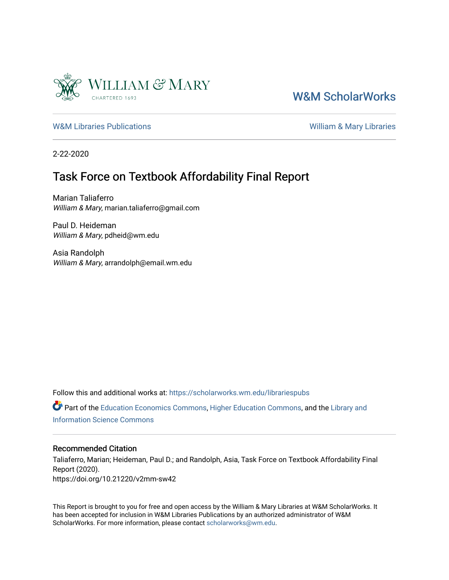

### [W&M ScholarWorks](https://scholarworks.wm.edu/)

[W&M Libraries Publications](https://scholarworks.wm.edu/librariespubs) **William & Mary Libraries** William & Mary Libraries

2-22-2020

### Task Force on Textbook Affordability Final Report

Marian Taliaferro William & Mary, marian.taliaferro@gmail.com

Paul D. Heideman William & Mary, pdheid@wm.edu

Asia Randolph William & Mary, arrandolph@email.wm.edu

Follow this and additional works at: [https://scholarworks.wm.edu/librariespubs](https://scholarworks.wm.edu/librariespubs?utm_source=scholarworks.wm.edu%2Flibrariespubs%2F90&utm_medium=PDF&utm_campaign=PDFCoverPages)

Part of the [Education Economics Commons,](http://network.bepress.com/hgg/discipline/1262?utm_source=scholarworks.wm.edu%2Flibrariespubs%2F90&utm_medium=PDF&utm_campaign=PDFCoverPages) [Higher Education Commons](http://network.bepress.com/hgg/discipline/1245?utm_source=scholarworks.wm.edu%2Flibrariespubs%2F90&utm_medium=PDF&utm_campaign=PDFCoverPages), and the [Library and](http://network.bepress.com/hgg/discipline/1018?utm_source=scholarworks.wm.edu%2Flibrariespubs%2F90&utm_medium=PDF&utm_campaign=PDFCoverPages)  [Information Science Commons](http://network.bepress.com/hgg/discipline/1018?utm_source=scholarworks.wm.edu%2Flibrariespubs%2F90&utm_medium=PDF&utm_campaign=PDFCoverPages) 

#### Recommended Citation

Taliaferro, Marian; Heideman, Paul D.; and Randolph, Asia, Task Force on Textbook Affordability Final Report (2020). https://doi.org/10.21220/v2mm-sw42

This Report is brought to you for free and open access by the William & Mary Libraries at W&M ScholarWorks. It has been accepted for inclusion in W&M Libraries Publications by an authorized administrator of W&M ScholarWorks. For more information, please contact [scholarworks@wm.edu.](mailto:scholarworks@wm.edu)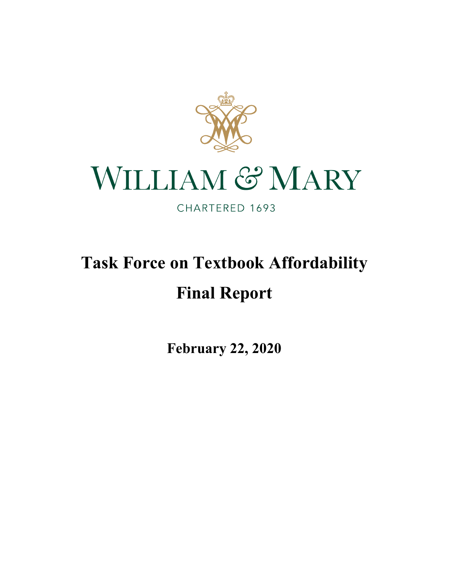

# WILLIAM & MARY

CHARTERED 1693

# **Task Force on Textbook Affordability Final Report**

**February 22, 2020**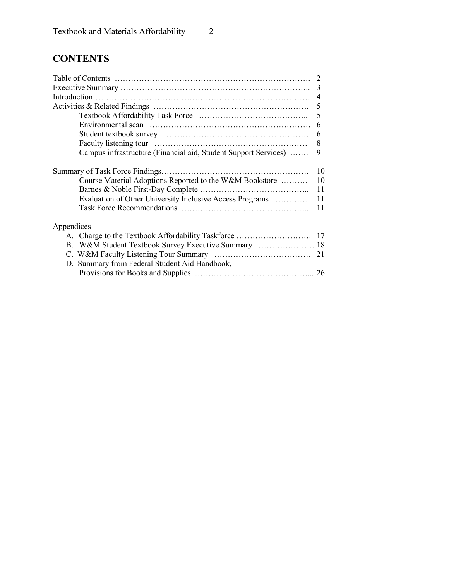## **CONTENTS**

|                                                                 | 3   |
|-----------------------------------------------------------------|-----|
|                                                                 |     |
|                                                                 |     |
|                                                                 |     |
|                                                                 |     |
|                                                                 | 6   |
|                                                                 | 8   |
| Campus infrastructure (Financial aid, Student Support Services) | 9   |
|                                                                 |     |
| Course Material Adoptions Reported to the W&M Bookstore         | 10  |
|                                                                 | -11 |
| Evaluation of Other University Inclusive Access Programs  11    |     |
|                                                                 | 11  |
| Appendices                                                      |     |
|                                                                 |     |
|                                                                 |     |
|                                                                 |     |
| D. Summary from Federal Student Aid Handbook,                   |     |
|                                                                 |     |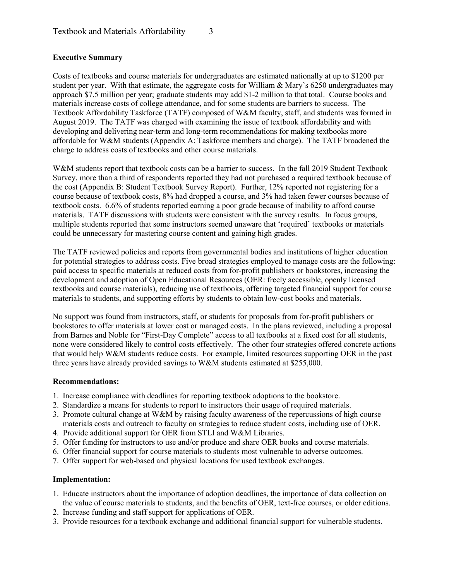#### **Executive Summary**

Costs of textbooks and course materials for undergraduates are estimated nationally at up to \$1200 per student per year. With that estimate, the aggregate costs for William & Mary's 6250 undergraduates may approach \$7.5 million per year; graduate students may add \$1-2 million to that total. Course books and materials increase costs of college attendance, and for some students are barriers to success. The Textbook Affordability Taskforce (TATF) composed of W&M faculty, staff, and students was formed in August 2019. The TATF was charged with examining the issue of textbook affordability and with developing and delivering near-term and long-term recommendations for making textbooks more affordable for W&M students (Appendix A: Taskforce members and charge). The TATF broadened the charge to address costs of textbooks and other course materials.

W&M students report that textbook costs can be a barrier to success. In the fall 2019 Student Textbook Survey, more than a third of respondents reported they had not purchased a required textbook because of the cost (Appendix B: Student Textbook Survey Report). Further, 12% reported not registering for a course because of textbook costs, 8% had dropped a course, and 3% had taken fewer courses because of textbook costs. 6.6% of students reported earning a poor grade because of inability to afford course materials. TATF discussions with students were consistent with the survey results. In focus groups, multiple students reported that some instructors seemed unaware that 'required' textbooks or materials could be unnecessary for mastering course content and gaining high grades.

The TATF reviewed policies and reports from governmental bodies and institutions of higher education for potential strategies to address costs. Five broad strategies employed to manage costs are the following: paid access to specific materials at reduced costs from for-profit publishers or bookstores, increasing the development and adoption of Open Educational Resources (OER: freely accessible, openly licensed textbooks and course materials), reducing use of textbooks, offering targeted financial support for course materials to students, and supporting efforts by students to obtain low-cost books and materials.

No support was found from instructors, staff, or students for proposals from for-profit publishers or bookstores to offer materials at lower cost or managed costs. In the plans reviewed, including a proposal from Barnes and Noble for "First-Day Complete" access to all textbooks at a fixed cost for all students, none were considered likely to control costs effectively. The other four strategies offered concrete actions that would help W&M students reduce costs. For example, limited resources supporting OER in the past three years have already provided savings to W&M students estimated at \$255,000.

#### **Recommendations:**

- 1. Increase compliance with deadlines for reporting textbook adoptions to the bookstore.
- 2. Standardize a means for students to report to instructors their usage of required materials.
- 3. Promote cultural change at W&M by raising faculty awareness of the repercussions of high course materials costs and outreach to faculty on strategies to reduce student costs, including use of OER.
- 4. Provide additional support for OER from STLI and W&M Libraries.
- 5. Offer funding for instructors to use and/or produce and share OER books and course materials.
- 6. Offer financial support for course materials to students most vulnerable to adverse outcomes.
- 7. Offer support for web-based and physical locations for used textbook exchanges.

#### **Implementation:**

- 1. Educate instructors about the importance of adoption deadlines, the importance of data collection on the value of course materials to students, and the benefits of OER, text-free courses, or older editions.
- 2. Increase funding and staff support for applications of OER.
- 3. Provide resources for a textbook exchange and additional financial support for vulnerable students.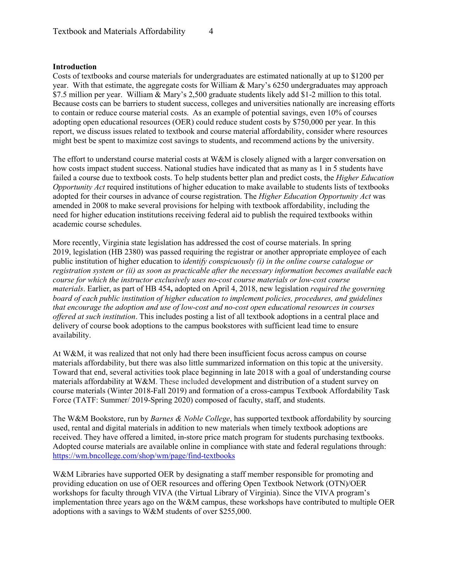#### **Introduction**

Costs of textbooks and course materials for undergraduates are estimated nationally at up to \$1200 per year. With that estimate, the aggregate costs for William & Mary's 6250 undergraduates may approach \$7.5 million per year. William & Mary's 2,500 graduate students likely add \$1-2 million to this total. Because costs can be barriers to student success, colleges and universities nationally are increasing efforts to contain or reduce course material costs. As an example of potential savings, even 10% of courses adopting open educational resources (OER) could reduce student costs by \$750,000 per year. In this report, we discuss issues related to textbook and course material affordability, consider where resources might best be spent to maximize cost savings to students, and recommend actions by the university.

The effort to understand course material costs at W&M is closely aligned with a larger conversation on how costs impact student success. National studies have indicated that as many as 1 in 5 students have failed a course due to textbook costs. To help students better plan and predict costs, the *Higher Education Opportunity Act* required institutions of higher education to make available to students lists of textbooks adopted for their courses in advance of course registration. The *Higher Education Opportunity Act* was amended in 2008 to make several provisions for helping with textbook affordability, including the need for higher education institutions receiving federal aid to publish the required textbooks within academic course schedules.

More recently, Virginia state legislation has addressed the cost of course materials. In spring 2019, legislation (HB 2380) was passed requiring the registrar or another appropriate employee of each public institution of higher education to *identify conspicuously (i) in the online course catalogue or registration system or (ii) as soon as practicable after the necessary information becomes available each course for which the instructor exclusively uses no-cost course materials or low-cost course materials*. Earlier, as part of HB 454**,** adopted on April 4, 2018, new legislation *required the governing board of each public institution of higher education to implement policies, procedures, and guidelines that encourage the adoption and use of low-cost and no-cost open educational resources in courses offered at such institution*. This includes posting a list of all textbook adoptions in a central place and delivery of course book adoptions to the campus bookstores with sufficient lead time to ensure availability.

At W&M, it was realized that not only had there been insufficient focus across campus on course materials affordability, but there was also little summarized information on this topic at the university. Toward that end, several activities took place beginning in late 2018 with a goal of understanding course materials affordability at W&M. These included development and distribution of a student survey on course materials (Winter 2018-Fall 2019) and formation of a cross-campus Textbook Affordability Task Force (TATF: Summer/ 2019-Spring 2020) composed of faculty, staff, and students.

The W&M Bookstore, run by *Barnes & Noble College*, has supported textbook affordability by sourcing used, rental and digital materials in addition to new materials when timely textbook adoptions are received. They have offered a limited, in-store price match program for students purchasing textbooks. Adopted course materials are available online in compliance with state and federal regulations through: <https://wm.bncollege.com/shop/wm/page/find-textbooks>

W&M Libraries have supported OER by designating a staff member responsible for promoting and providing education on use of OER resources and offering Open Textbook Network (OTN)/OER workshops for faculty through VIVA (the Virtual Library of Virginia). Since the VIVA program's implementation three years ago on the W&M campus, these workshops have contributed to multiple OER adoptions with a savings to W&M students of over \$255,000.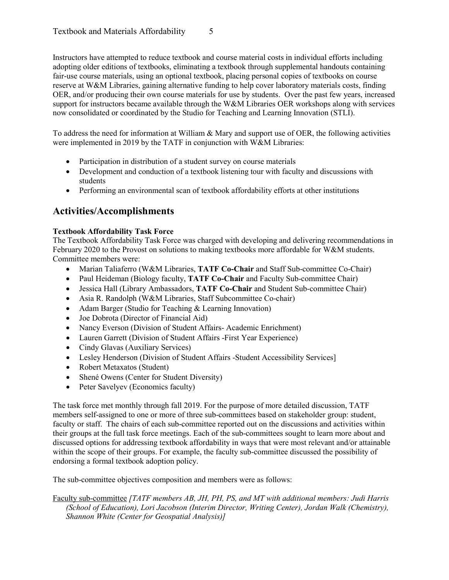Instructors have attempted to reduce textbook and course material costs in individual efforts including adopting older editions of textbooks, eliminating a textbook through supplemental handouts containing fair-use course materials, using an optional textbook, placing personal copies of textbooks on course reserve at W&M Libraries, gaining alternative funding to help cover laboratory materials costs, finding OER, and/or producing their own course materials for use by students. Over the past few years, increased support for instructors became available through the W&M Libraries OER workshops along with services now consolidated or coordinated by the Studio for Teaching and Learning Innovation (STLI).

To address the need for information at William & Mary and support use of OER, the following activities were implemented in 2019 by the TATF in conjunction with W&M Libraries:

- Participation in distribution of a student survey on course materials
- Development and conduction of a textbook listening tour with faculty and discussions with students
- Performing an environmental scan of textbook affordability efforts at other institutions

### **Activities/Accomplishments**

#### **Textbook Affordability Task Force**

The Textbook Affordability Task Force was charged with developing and delivering recommendations in February 2020 to the Provost on solutions to making textbooks more affordable for W&M students. Committee members were:

- Marian Taliaferro (W&M Libraries, **TATF Co-Chair** and Staff Sub-committee Co-Chair)
- Paul Heideman (Biology faculty, **TATF Co-Chair** and Faculty Sub-committee Chair)
- Jessica Hall (Library Ambassadors, **TATF Co-Chair** and Student Sub-committee Chair)
- Asia R. Randolph (W&M Libraries, Staff Subcommittee Co-chair)
- Adam Barger (Studio for Teaching & Learning Innovation)
- Joe Dobrota (Director of Financial Aid)
- Nancy Everson (Division of Student Affairs-Academic Enrichment)
- Lauren Garrett (Division of Student Affairs -First Year Experience)
- Cindy Glavas (Auxiliary Services)
- Lesley Henderson (Division of Student Affairs -Student Accessibility Services]
- Robert Metaxatos (Student)
- Shené Owens (Center for Student Diversity)
- Peter Savelyev (Economics faculty)

The task force met monthly through fall 2019. For the purpose of more detailed discussion, TATF members self-assigned to one or more of three sub-committees based on stakeholder group: student, faculty or staff. The chairs of each sub-committee reported out on the discussions and activities within their groups at the full task force meetings. Each of the sub-committees sought to learn more about and discussed options for addressing textbook affordability in ways that were most relevant and/or attainable within the scope of their groups. For example, the faculty sub-committee discussed the possibility of endorsing a formal textbook adoption policy.

The sub-committee objectives composition and members were as follows:

Faculty sub-committee *[TATF members AB, JH, PH, PS, and MT with additional members: Judi Harris (School of Education), Lori Jacobson (Interim Director, Writing Center), Jordan Walk (Chemistry), Shannon White (Center for Geospatial Analysis)]*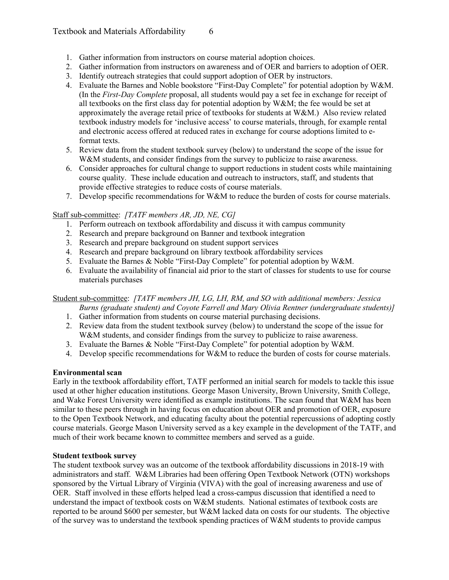- 1. Gather information from instructors on course material adoption choices.
- 2. Gather information from instructors on awareness and of OER and barriers to adoption of OER.
- 3. Identify outreach strategies that could support adoption of OER by instructors.
- 4. Evaluate the Barnes and Noble bookstore "First-Day Complete" for potential adoption by W&M. (In the *First-Day Complete* proposal, all students would pay a set fee in exchange for receipt of all textbooks on the first class day for potential adoption by W&M; the fee would be set at approximately the average retail price of textbooks for students at W&M.) Also review related textbook industry models for 'inclusive access' to course materials, through, for example rental and electronic access offered at reduced rates in exchange for course adoptions limited to eformat texts.
- 5. Review data from the student textbook survey (below) to understand the scope of the issue for W&M students, and consider findings from the survey to publicize to raise awareness.
- 6. Consider approaches for cultural change to support reductions in student costs while maintaining course quality. These include education and outreach to instructors, staff, and students that provide effective strategies to reduce costs of course materials.
- 7. Develop specific recommendations for W&M to reduce the burden of costs for course materials.

#### Staff sub-committee: *[TATF members AR, JD, NE, CG]*

- 1. Perform outreach on textbook affordability and discuss it with campus community
- 2. Research and prepare background on Banner and textbook integration
- 3. Research and prepare background on student support services
- 4. Research and prepare background on library textbook affordability services
- 5. Evaluate the Barnes & Noble "First-Day Complete" for potential adoption by W&M.
- 6. Evaluate the availability of financial aid prior to the start of classes for students to use for course materials purchases

Student sub-committee: *[TATF members JH, LG, LH, RM, and SO with additional members: Jessica* 

*Burns (graduate student) and Coyote Farrell and Mary Olivia Rentner (undergraduate students)]*

- 1. Gather information from students on course material purchasing decisions.
- 2. Review data from the student textbook survey (below) to understand the scope of the issue for W&M students, and consider findings from the survey to publicize to raise awareness.
- 3. Evaluate the Barnes & Noble "First-Day Complete" for potential adoption by W&M.
- 4. Develop specific recommendations for  $W\&M$  to reduce the burden of costs for course materials.

#### **Environmental scan**

Early in the textbook affordability effort, TATF performed an initial search for models to tackle this issue used at other higher education institutions. George Mason University, Brown University, Smith College, and Wake Forest University were identified as example institutions. The scan found that W&M has been similar to these peers through in having focus on education about OER and promotion of OER, exposure to the Open Textbook Network, and educating faculty about the potential repercussions of adopting costly course materials. George Mason University served as a key example in the development of the TATF, and much of their work became known to committee members and served as a guide.

#### **Student textbook survey**

The student textbook survey was an outcome of the textbook affordability discussions in 2018-19 with administrators and staff. W&M Libraries had been offering Open Textbook Network (OTN) workshops sponsored by the Virtual Library of Virginia (VIVA) with the goal of increasing awareness and use of OER. Staff involved in these efforts helped lead a cross-campus discussion that identified a need to understand the impact of textbook costs on W&M students. National estimates of textbook costs are reported to be around \$600 per semester, but W&M lacked data on costs for our students. The objective of the survey was to understand the textbook spending practices of W&M students to provide campus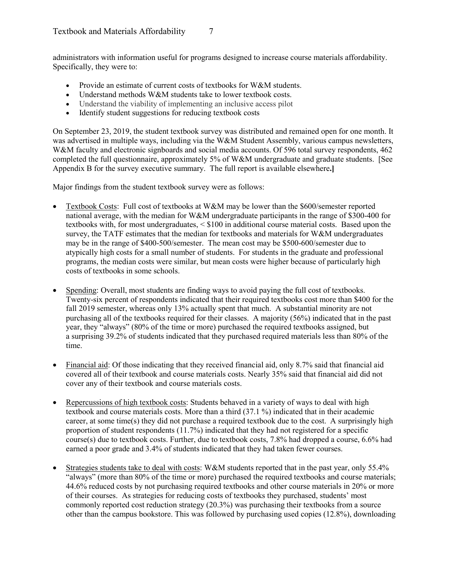administrators with information useful for programs designed to increase course materials affordability. Specifically, they were to:

- Provide an estimate of current costs of textbooks for W&M students.
- Understand methods W&M students take to lower textbook costs.
- Understand the viability of implementing an inclusive access pilot
- Identify student suggestions for reducing textbook costs

On September 23, 2019, the student textbook survey was distributed and remained open for one month. It was advertised in multiple ways, including via the W&M Student Assembly, various campus newsletters, W&M faculty and electronic signboards and social media accounts. Of 596 total survey respondents, 462 completed the full questionnaire, approximately 5% of W&M undergraduate and graduate students. [See Appendix B for the survey executive summary. The full report is available elsewhere**.]**

Major findings from the student textbook survey were as follows:

- Textbook Costs: Full cost of textbooks at W&M may be lower than the \$600/semester reported national average, with the median for W&M undergraduate participants in the range of \$300-400 for textbooks with, for most undergraduates, < \$100 in additional course material costs. Based upon the survey, the TATF estimates that the median for textbooks and materials for W&M undergraduates may be in the range of \$400-500/semester. The mean cost may be \$500-600/semester due to atypically high costs for a small number of students. For students in the graduate and professional programs, the median costs were similar, but mean costs were higher because of particularly high costs of textbooks in some schools.
- Spending: Overall, most students are finding ways to avoid paying the full cost of textbooks. Twenty-six percent of respondents indicated that their required textbooks cost more than \$400 for the fall 2019 semester, whereas only 13% actually spent that much. A substantial minority are not purchasing all of the textbooks required for their classes. A majority (56%) indicated that in the past year, they "always" (80% of the time or more) purchased the required textbooks assigned, but a surprising 39.2% of students indicated that they purchased required materials less than 80% of the time.
- Financial aid: Of those indicating that they received financial aid, only 8.7% said that financial aid covered all of their textbook and course materials costs. Nearly 35% said that financial aid did not cover any of their textbook and course materials costs.
- Repercussions of high textbook costs: Students behaved in a variety of ways to deal with high textbook and course materials costs. More than a third (37.1 %) indicated that in their academic career, at some time(s) they did not purchase a required textbook due to the cost. A surprisingly high proportion of student respondents (11.7%) indicated that they had not registered for a specific course(s) due to textbook costs. Further, due to textbook costs, 7.8% had dropped a course, 6.6% had earned a poor grade and 3.4% of students indicated that they had taken fewer courses.
- Strategies students take to deal with costs: W&M students reported that in the past year, only 55.4% "always" (more than 80% of the time or more) purchased the required textbooks and course materials; 44.6% reduced costs by not purchasing required textbooks and other course materials in 20% or more of their courses. As strategies for reducing costs of textbooks they purchased, students' most commonly reported cost reduction strategy (20.3%) was purchasing their textbooks from a source other than the campus bookstore. This was followed by purchasing used copies (12.8%), downloading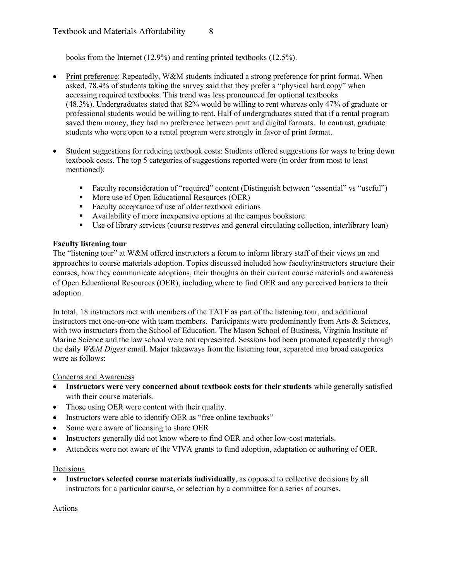books from the Internet (12.9%) and renting printed textbooks (12.5%).

- Print preference: Repeatedly, W&M students indicated a strong preference for print format. When asked, 78.4% of students taking the survey said that they prefer a "physical hard copy" when accessing required textbooks. This trend was less pronounced for optional textbooks (48.3%). Undergraduates stated that 82% would be willing to rent whereas only 47% of graduate or professional students would be willing to rent. Half of undergraduates stated that if a rental program saved them money, they had no preference between print and digital formats. In contrast, graduate students who were open to a rental program were strongly in favor of print format.
- Student suggestions for reducing textbook costs: Students offered suggestions for ways to bring down textbook costs. The top 5 categories of suggestions reported were (in order from most to least mentioned):
	- Faculty reconsideration of "required" content (Distinguish between "essential" vs "useful")
	- More use of Open Educational Resources (OER)
	- Faculty acceptance of use of older textbook editions
	- Availability of more inexpensive options at the campus bookstore
	- Use of library services (course reserves and general circulating collection, interlibrary loan)

#### **Faculty listening tour**

The "listening tour" at W&M offered instructors a forum to inform library staff of their views on and approaches to course materials adoption. Topics discussed included how faculty/instructors structure their courses, how they communicate adoptions, their thoughts on their current course materials and awareness of Open Educational Resources (OER), including where to find OER and any perceived barriers to their adoption.

In total, 18 instructors met with members of the TATF as part of the listening tour, and additional instructors met one-on-one with team members. Participants were predominantly from Arts & Sciences, with two instructors from the School of Education. The Mason School of Business, Virginia Institute of Marine Science and the law school were not represented. Sessions had been promoted repeatedly through the daily *W&M Digest* email. Major takeaways from the listening tour, separated into broad categories were as follows:

#### Concerns and Awareness

- **Instructors were very concerned about textbook costs for their students** while generally satisfied with their course materials.
- Those using OER were content with their quality.
- Instructors were able to identify OER as "free online textbooks"
- Some were aware of licensing to share OER
- Instructors generally did not know where to find OER and other low-cost materials.
- Attendees were not aware of the VIVA grants to fund adoption, adaptation or authoring of OER.

#### Decisions

• **Instructors selected course materials individually**, as opposed to collective decisions by all instructors for a particular course, or selection by a committee for a series of courses.

#### Actions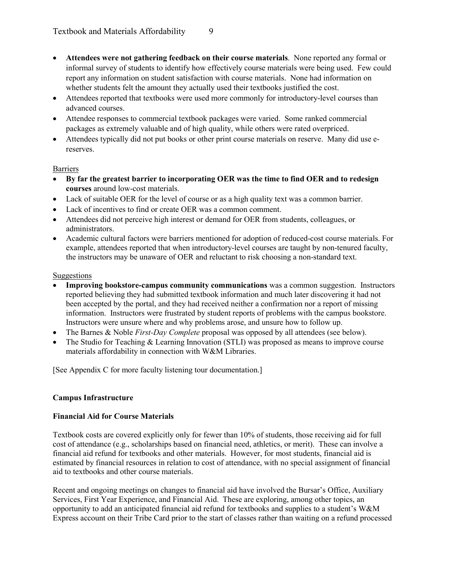- **Attendees were not gathering feedback on their course materials**. None reported any formal or informal survey of students to identify how effectively course materials were being used. Few could report any information on student satisfaction with course materials. None had information on whether students felt the amount they actually used their textbooks justified the cost.
- Attendees reported that textbooks were used more commonly for introductory-level courses than advanced courses.
- Attendee responses to commercial textbook packages were varied. Some ranked commercial packages as extremely valuable and of high quality, while others were rated overpriced.
- Attendees typically did not put books or other print course materials on reserve. Many did use ereserves.

#### Barriers

- **By far the greatest barrier to incorporating OER was the time to find OER and to redesign courses** around low-cost materials.
- Lack of suitable OER for the level of course or as a high quality text was a common barrier.
- Lack of incentives to find or create OER was a common comment.
- Attendees did not perceive high interest or demand for OER from students, colleagues, or administrators.
- Academic cultural factors were barriers mentioned for adoption of reduced-cost course materials. For example, attendees reported that when introductory-level courses are taught by non-tenured faculty, the instructors may be unaware of OER and reluctant to risk choosing a non-standard text.

#### Suggestions

- **Improving bookstore-campus community communications** was a common suggestion. Instructors reported believing they had submitted textbook information and much later discovering it had not been accepted by the portal, and they had received neither a confirmation nor a report of missing information. Instructors were frustrated by student reports of problems with the campus bookstore. Instructors were unsure where and why problems arose, and unsure how to follow up.
- The Barnes & Noble *First-Day Complete* proposal was opposed by all attendees (see below).
- The Studio for Teaching & Learning Innovation (STLI) was proposed as means to improve course materials affordability in connection with W&M Libraries.

[See Appendix C for more faculty listening tour documentation.]

#### **Campus Infrastructure**

#### **Financial Aid for Course Materials**

Textbook costs are covered explicitly only for fewer than 10% of students, those receiving aid for full cost of attendance (e.g., scholarships based on financial need, athletics, or merit). These can involve a financial aid refund for textbooks and other materials. However, for most students, financial aid is estimated by financial resources in relation to cost of attendance, with no special assignment of financial aid to textbooks and other course materials.

Recent and ongoing meetings on changes to financial aid have involved the Bursar's Office, Auxiliary Services, First Year Experience, and Financial Aid. These are exploring, among other topics, an opportunity to add an anticipated financial aid refund for textbooks and supplies to a student's W&M Express account on their Tribe Card prior to the start of classes rather than waiting on a refund processed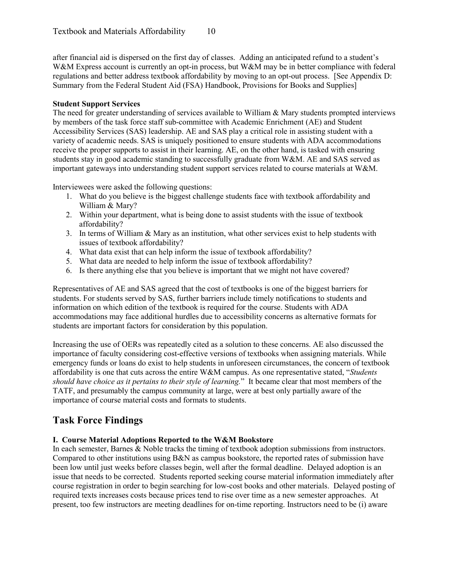after financial aid is dispersed on the first day of classes. Adding an anticipated refund to a student's W&M Express account is currently an opt-in process, but W&M may be in better compliance with federal regulations and better address textbook affordability by moving to an opt-out process. [See Appendix D: Summary from the Federal Student Aid (FSA) Handbook, Provisions for Books and Supplies]

#### **Student Support Services**

The need for greater understanding of services available to William & Mary students prompted interviews by members of the task force staff sub-committee with Academic Enrichment (AE) and Student Accessibility Services (SAS) leadership. AE and SAS play a critical role in assisting student with a variety of academic needs. SAS is uniquely positioned to ensure students with ADA accommodations receive the proper supports to assist in their learning. AE, on the other hand, is tasked with ensuring students stay in good academic standing to successfully graduate from W&M. AE and SAS served as important gateways into understanding student support services related to course materials at W&M.

Interviewees were asked the following questions:

- 1. What do you believe is the biggest challenge students face with textbook affordability and William & Mary?
- 2. Within your department, what is being done to assist students with the issue of textbook affordability?
- 3. In terms of William & Mary as an institution, what other services exist to help students with issues of textbook affordability?
- 4. What data exist that can help inform the issue of textbook affordability?
- 5. What data are needed to help inform the issue of textbook affordability?
- 6. Is there anything else that you believe is important that we might not have covered?

Representatives of AE and SAS agreed that the cost of textbooks is one of the biggest barriers for students. For students served by SAS, further barriers include timely notifications to students and information on which edition of the textbook is required for the course. Students with ADA accommodations may face additional hurdles due to accessibility concerns as alternative formats for students are important factors for consideration by this population.

Increasing the use of OERs was repeatedly cited as a solution to these concerns. AE also discussed the importance of faculty considering cost-effective versions of textbooks when assigning materials. While emergency funds or loans do exist to help students in unforeseen circumstances, the concern of textbook affordability is one that cuts across the entire W&M campus. As one representative stated, "*Students should have choice as it pertains to their style of learning.*" It became clear that most members of the TATF, and presumably the campus community at large, were at best only partially aware of the importance of course material costs and formats to students.

#### **Task Force Findings**

#### **I. Course Material Adoptions Reported to the W&M Bookstore**

In each semester, Barnes & Noble tracks the timing of textbook adoption submissions from instructors. Compared to other institutions using B&N as campus bookstore, the reported rates of submission have been low until just weeks before classes begin, well after the formal deadline. Delayed adoption is an issue that needs to be corrected. Students reported seeking course material information immediately after course registration in order to begin searching for low-cost books and other materials. Delayed posting of required texts increases costs because prices tend to rise over time as a new semester approaches. At present, too few instructors are meeting deadlines for on-time reporting. Instructors need to be (i) aware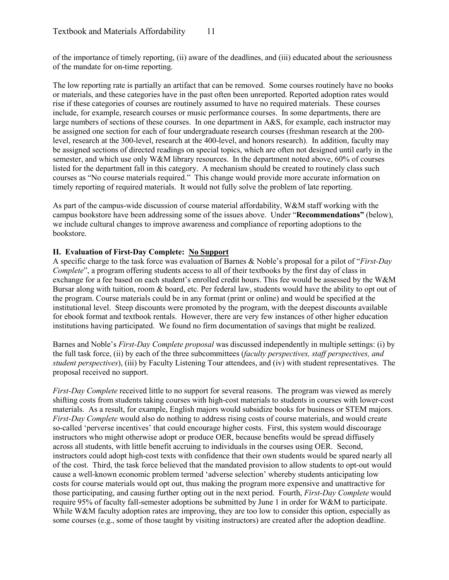of the importance of timely reporting, (ii) aware of the deadlines, and (iii) educated about the seriousness of the mandate for on-time reporting.

The low reporting rate is partially an artifact that can be removed. Some courses routinely have no books or materials, and these categories have in the past often been unreported. Reported adoption rates would rise if these categories of courses are routinely assumed to have no required materials. These courses include, for example, research courses or music performance courses. In some departments, there are large numbers of sections of these courses. In one department in A&S, for example, each instructor may be assigned one section for each of four undergraduate research courses (freshman research at the 200 level, research at the 300-level, research at the 400-level, and honors research). In addition, faculty may be assigned sections of directed readings on special topics, which are often not designed until early in the semester, and which use only W&M library resources. In the department noted above, 60% of courses listed for the department fall in this category. A mechanism should be created to routinely class such courses as "No course materials required." This change would provide more accurate information on timely reporting of required materials. It would not fully solve the problem of late reporting.

As part of the campus-wide discussion of course material affordability, W&M staff working with the campus bookstore have been addressing some of the issues above. Under "**Recommendations"** (below), we include cultural changes to improve awareness and compliance of reporting adoptions to the bookstore.

#### **II. Evaluation of First-Day Complete: No Support**

A specific charge to the task force was evaluation of Barnes & Noble's proposal for a pilot of "*First-Day Complete*", a program offering students access to all of their textbooks by the first day of class in exchange for a fee based on each student's enrolled credit hours. This fee would be assessed by the W&M Bursar along with tuition, room & board, etc. Per federal law, students would have the ability to opt out of the program. Course materials could be in any format (print or online) and would be specified at the institutional level. Steep discounts were promoted by the program, with the deepest discounts available for ebook format and textbook rentals. However, there are very few instances of other higher education institutions having participated. We found no firm documentation of savings that might be realized.

Barnes and Noble's *First-Day Complete proposal* was discussed independently in multiple settings: (i) by the full task force, (ii) by each of the three subcommittees (*faculty perspectives, staff perspectives, and student perspectives*), (iii) by Faculty Listening Tour attendees, and (iv) with student representatives. The proposal received no support.

*First-Day Complete* received little to no support for several reasons. The program was viewed as merely shifting costs from students taking courses with high-cost materials to students in courses with lower-cost materials. As a result, for example, English majors would subsidize books for business or STEM majors. *First-Day Complete* would also do nothing to address rising costs of course materials, and would create so-called 'perverse incentives' that could encourage higher costs. First, this system would discourage instructors who might otherwise adopt or produce OER, because benefits would be spread diffusely across all students, with little benefit accruing to individuals in the courses using OER. Second, instructors could adopt high-cost texts with confidence that their own students would be spared nearly all of the cost. Third, the task force believed that the mandated provision to allow students to opt-out would cause a well-known economic problem termed 'adverse selection' whereby students anticipating low costs for course materials would opt out, thus making the program more expensive and unattractive for those participating, and causing further opting out in the next period. Fourth, *First-Day Complete* would require 95% of faculty fall-semester adoptions be submitted by June 1 in order for W&M to participate. While W&M faculty adoption rates are improving, they are too low to consider this option, especially as some courses (e.g., some of those taught by visiting instructors) are created after the adoption deadline.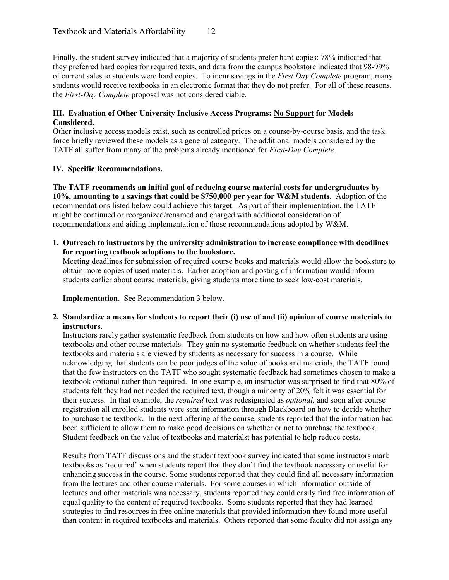Finally, the student survey indicated that a majority of students prefer hard copies: 78% indicated that they preferred hard copies for required texts, and data from the campus bookstore indicated that 98-99% of current sales to students were hard copies. To incur savings in the *First Day Complete* program, many students would receive textbooks in an electronic format that they do not prefer. For all of these reasons, the *First-Day Complete* proposal was not considered viable.

#### **III. Evaluation of Other University Inclusive Access Programs: No Support for Models Considered.**

Other inclusive access models exist, such as controlled prices on a course-by-course basis, and the task force briefly reviewed these models as a general category. The additional models considered by the TATF all suffer from many of the problems already mentioned for *First-Day Complete*.

#### **IV. Specific Recommendations.**

**The TATF recommends an initial goal of reducing course material costs for undergraduates by 10%, amounting to a savings that could be \$750,000 per year for W&M students.** Adoption of the recommendations listed below could achieve this target. As part of their implementation, the TATF might be continued or reorganized/renamed and charged with additional consideration of recommendations and aiding implementation of those recommendations adopted by W&M.

**1. Outreach to instructors by the university administration to increase compliance with deadlines for reporting textbook adoptions to the bookstore.** 

Meeting deadlines for submission of required course books and materials would allow the bookstore to obtain more copies of used materials. Earlier adoption and posting of information would inform students earlier about course materials, giving students more time to seek low-cost materials.

**Implementation**. See Recommendation 3 below.

**2. Standardize a means for students to report their (i) use of and (ii) opinion of course materials to instructors.**

Instructors rarely gather systematic feedback from students on how and how often students are using textbooks and other course materials. They gain no systematic feedback on whether students feel the textbooks and materials are viewed by students as necessary for success in a course. While acknowledging that students can be poor judges of the value of books and materials, the TATF found that the few instructors on the TATF who sought systematic feedback had sometimes chosen to make a textbook optional rather than required. In one example, an instructor was surprised to find that 80% of students felt they had not needed the required text, though a minority of 20% felt it was essential for their success. In that example, the *required* text was redesignated as *optional,* and soon after course registration all enrolled students were sent information through Blackboard on how to decide whether to purchase the textbook. In the next offering of the course, students reported that the information had been sufficient to allow them to make good decisions on whether or not to purchase the textbook. Student feedback on the value of textbooks and materialst has potential to help reduce costs.

Results from TATF discussions and the student textbook survey indicated that some instructors mark textbooks as 'required' when students report that they don't find the textbook necessary or useful for enhancing success in the course. Some students reported that they could find all necessary information from the lectures and other course materials. For some courses in which information outside of lectures and other materials was necessary, students reported they could easily find free information of equal quality to the content of required textbooks. Some students reported that they had learned strategies to find resources in free online materials that provided information they found more useful than content in required textbooks and materials. Others reported that some faculty did not assign any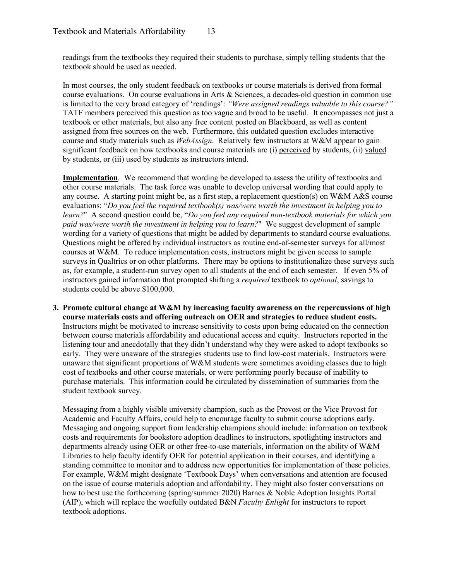readings from the textbooks they required their students to purchase, simply telling students that the textbook should be used as needed.

In most courses, the only student feedback on textbooks or course materials is derived from formal course evaluations. On course evaluations in Arts & Sciences, a decades-old question in common use is limited to the very broad category of 'readings': *"Were assigned readings valuable to this course?"* TATF members perceived this question as too vague and broad to be useful. It encompasses not just a textbook or other materials, but also any free content posted on Blackboard, as well as content assigned from free sources on the web. Furthermore, this outdated question excludes interactive course and study materials such as *WebAssign*. Relatively few instructors at W&M appear to gain significant feedback on how textbooks and course materials are (i) perceived by students, (ii) valued by students, or (iii) used by students as instructors intend.

**Implementation**. We recommend that wording be developed to assess the utility of textbooks and other course materials. The task force was unable to develop universal wording that could apply to any course. A starting point might be, as a first step, a replacement question(s) on W&M A&S course evaluations: "*Do you feel the required textbook(s) was/were worth the investment in helping you to learn?*" A second question could be, "*Do you feel any required non-textbook materials for which you paid was/were worth the investment in helping you to learn?*" We suggest development of sample wording for a variety of questions that might be added by departments to standard course evaluations. Questions might be offered by individual instructors as routine end-of-semester surveys for all/most courses at W&M. To reduce implementation costs, instructors might be given access to sample surveys in Qualtrics or on other platforms. There may be options to institutionalize these surveys such as, for example, a student-run survey open to all students at the end of each semester. If even 5% of instructors gained information that prompted shifting a *required* textbook to *optional*, savings to students could be above \$100,000.

**3. Promote cultural change at W&M by increasing faculty awareness on the repercussions of high course materials costs and offering outreach on OER and strategies to reduce student costs.** Instructors might be motivated to increase sensitivity to costs upon being educated on the connection between course materials affordability and educational access and equity. Instructors reported in the listening tour and anecdotally that they didn't understand why they were asked to adopt textbooks so early. They were unaware of the strategies students use to find low-cost materials. Instructors were unaware that significant proportions of W&M students were sometimes avoiding classes due to high cost of textbooks and other course materials, or were performing poorly because of inability to purchase materials. This information could be circulated by dissemination of summaries from the student textbook survey.

Messaging from a highly visible university champion, such as the Provost or the Vice Provost for Academic and Faculty Affairs, could help to encourage faculty to submit course adoptions early. Messaging and ongoing support from leadership champions should include: information on textbook costs and requirements for bookstore adoption deadlines to instructors, spotlighting instructors and departments already using OER or other free-to-use materials, information on the ability of W&M Libraries to help faculty identify OER for potential application in their courses, and identifying a standing committee to monitor and to address new opportunities for implementation of these policies. For example, W&M might designate 'Textbook Days' when conversations and attention are focused on the issue of course materials adoption and affordability. They might also foster conversations on how to best use the forthcoming (spring/summer 2020) Barnes & Noble Adoption Insights Portal (AIP), which will replace the woefully outdated B&N *Faculty Enlight* for instructors to report textbook adoptions.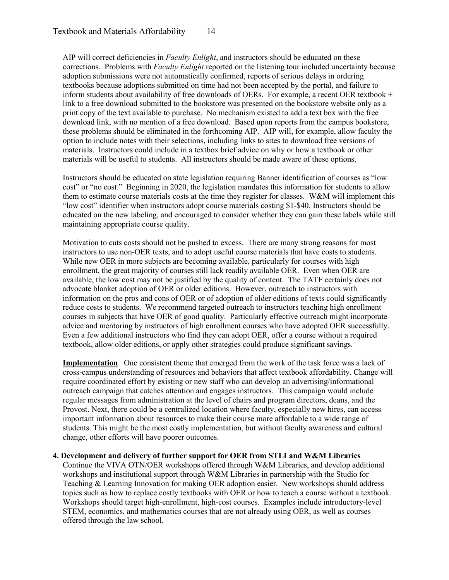AIP will correct deficiencies in *Faculty Enlight*, and instructors should be educated on these corrections. Problems with *Faculty Enlight* reported on the listening tour included uncertainty because adoption submissions were not automatically confirmed, reports of serious delays in ordering textbooks because adoptions submitted on time had not been accepted by the portal, and failure to inform students about availability of free downloads of OERs. For example, a recent OER textbook  $+$ link to a free download submitted to the bookstore was presented on the bookstore website only as a print copy of the text available to purchase. No mechanism existed to add a text box with the free download link, with no mention of a free download. Based upon reports from the campus bookstore, these problems should be eliminated in the forthcoming AIP. AIP will, for example, allow faculty the option to include notes with their selections, including links to sites to download free versions of materials. Instructors could include in a textbox brief advice on why or how a textbook or other materials will be useful to students. All instructors should be made aware of these options.

Instructors should be educated on state legislation requiring Banner identification of courses as "low cost" or "no cost." Beginning in 2020, the legislation mandates this information for students to allow them to estimate course materials costs at the time they register for classes. W&M will implement this "low cost" identifier when instructors adopt course materials costing \$1-\$40. Instructors should be educated on the new labeling, and encouraged to consider whether they can gain these labels while still maintaining appropriate course quality.

Motivation to cuts costs should not be pushed to excess. There are many strong reasons for most instructors to use non-OER texts, and to adopt useful course materials that have costs to students. While new OER in more subjects are becoming available, particularly for courses with high enrollment, the great majority of courses still lack readily available OER. Even when OER are available, the low cost may not be justified by the quality of content. The TATF certainly does not advocate blanket adoption of OER or older editions. However, outreach to instructors with information on the pros and cons of OER or of adoption of older editions of texts could significantly reduce costs to students. We recommend targeted outreach to instructors teaching high enrollment courses in subjects that have OER of good quality. Particularly effective outreach might incorporate advice and mentoring by instructors of high enrollment courses who have adopted OER successfully. Even a few additional instructors who find they can adopt OER, offer a course without a required textbook, allow older editions, or apply other strategies could produce significant savings.

**Implementation**. One consistent theme that emerged from the work of the task force was a lack of cross-campus understanding of resources and behaviors that affect textbook affordability. Change will require coordinated effort by existing or new staff who can develop an advertising/informational outreach campaign that catches attention and engages instructors. This campaign would include regular messages from administration at the level of chairs and program directors, deans, and the Provost. Next, there could be a centralized location where faculty, especially new hires, can access important information about resources to make their course more affordable to a wide range of students. This might be the most costly implementation, but without faculty awareness and cultural change, other efforts will have poorer outcomes.

#### **4. Development and delivery of further support for OER from STLI and W&M Libraries**

Continue the VIVA OTN/OER workshops offered through W&M Libraries, and develop additional workshops and institutional support through W&M Libraries in partnership with the Studio for Teaching & Learning Innovation for making OER adoption easier. New workshops should address topics such as how to replace costly textbooks with OER or how to teach a course without a textbook. Workshops should target high-enrollment, high-cost courses. Examples include introductory-level STEM, economics, and mathematics courses that are not already using OER, as well as courses offered through the law school.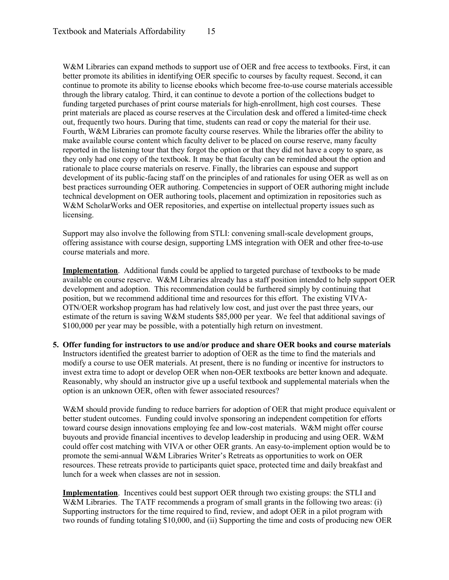W&M Libraries can expand methods to support use of OER and free access to textbooks. First, it can better promote its abilities in identifying OER specific to courses by faculty request. Second, it can continue to promote its ability to license ebooks which become free-to-use course materials accessible through the library catalog. Third, it can continue to devote a portion of the collections budget to funding targeted purchases of print course materials for high-enrollment, high cost courses. These print materials are placed as course reserves at the Circulation desk and offered a limited-time check out, frequently two hours. During that time, students can read or copy the material for their use. Fourth, W&M Libraries can promote faculty course reserves. While the libraries offer the ability to make available course content which faculty deliver to be placed on course reserve, many faculty reported in the listening tour that they forgot the option or that they did not have a copy to spare, as they only had one copy of the textbook. It may be that faculty can be reminded about the option and rationale to place course materials on reserve. Finally, the libraries can espouse and support development of its public-facing staff on the principles of and rationales for using OER as well as on best practices surrounding OER authoring. Competencies in support of OER authoring might include technical development on OER authoring tools, placement and optimization in repositories such as W&M ScholarWorks and OER repositories, and expertise on intellectual property issues such as licensing.

Support may also involve the following from STLI: convening small-scale development groups, offering assistance with course design, supporting LMS integration with OER and other free-to-use course materials and more.

**Implementation**. Additional funds could be applied to targeted purchase of textbooks to be made available on course reserve. W&M Libraries already has a staff position intended to help support OER development and adoption. This recommendation could be furthered simply by continuing that position, but we recommend additional time and resources for this effort. The existing VIVA-OTN/OER workshop program has had relatively low cost, and just over the past three years, our estimate of the return is saving W&M students \$85,000 per year. We feel that additional savings of \$100,000 per year may be possible, with a potentially high return on investment.

**5. Offer funding for instructors to use and/or produce and share OER books and course materials** Instructors identified the greatest barrier to adoption of OER as the time to find the materials and modify a course to use OER materials. At present, there is no funding or incentive for instructors to invest extra time to adopt or develop OER when non-OER textbooks are better known and adequate. Reasonably, why should an instructor give up a useful textbook and supplemental materials when the option is an unknown OER, often with fewer associated resources?

W&M should provide funding to reduce barriers for adoption of OER that might produce equivalent or better student outcomes. Funding could involve sponsoring an independent competition for efforts toward course design innovations employing fee and low-cost materials. W&M might offer course buyouts and provide financial incentives to develop leadership in producing and using OER. W&M could offer cost matching with VIVA or other OER grants. An easy-to-implement option would be to promote the semi-annual W&M Libraries Writer's Retreats as opportunities to work on OER resources. These retreats provide to participants quiet space, protected time and daily breakfast and lunch for a week when classes are not in session.

**Implementation**. Incentives could best support OER through two existing groups: the STLI and W&M Libraries. The TATF recommends a program of small grants in the following two areas: (i) Supporting instructors for the time required to find, review, and adopt OER in a pilot program with two rounds of funding totaling \$10,000, and (ii) Supporting the time and costs of producing new OER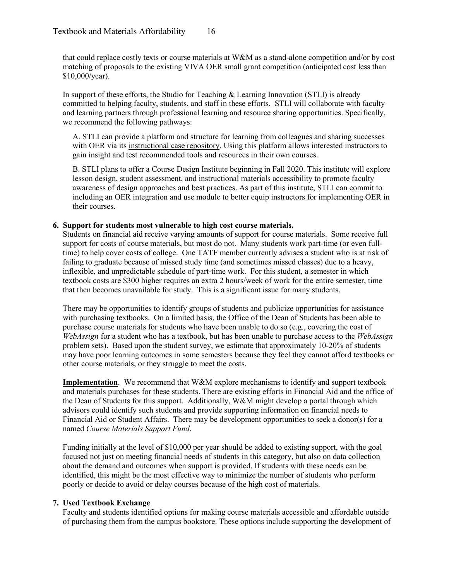that could replace costly texts or course materials at W&M as a stand-alone competition and/or by cost matching of proposals to the existing VIVA OER small grant competition (anticipated cost less than \$10,000/year).

In support of these efforts, the Studio for Teaching & Learning Innovation (STLI) is already committed to helping faculty, students, and staff in these efforts. STLI will collaborate with faculty and learning partners through professional learning and resource sharing opportunities. Specifically, we recommend the following pathways:

A. STLI can provide a platform and structure for learning from colleagues and sharing successes with OER via its [instructional case repository.](https://sites.google.com/email.wm.edu/elearningsamples) Using this platform allows interested instructors to gain insight and test recommended tools and resources in their own courses.

B. STLI plans to offer a [Course Design Institute](https://www.wm.edu/offices/apel/instructional_training/index.php) beginning in Fall 2020. This institute will explore lesson design, student assessment, and instructional materials accessibility to promote faculty awareness of design approaches and best practices. As part of this institute, STLI can commit to including an OER integration and use module to better equip instructors for implementing OER in their courses.

#### **6. Support for students most vulnerable to high cost course materials.**

Students on financial aid receive varying amounts of support for course materials. Some receive full support for costs of course materials, but most do not. Many students work part-time (or even fulltime) to help cover costs of college. One TATF member currently advises a student who is at risk of failing to graduate because of missed study time (and sometimes missed classes) due to a heavy, inflexible, and unpredictable schedule of part-time work. For this student, a semester in which textbook costs are \$300 higher requires an extra 2 hours/week of work for the entire semester, time that then becomes unavailable for study. This is a significant issue for many students.

There may be opportunities to identify groups of students and publicize opportunities for assistance with purchasing textbooks. On a limited basis, the Office of the Dean of Students has been able to purchase course materials for students who have been unable to do so (e.g., covering the cost of *WebAssign* for a student who has a textbook, but has been unable to purchase access to the *WebAssign* problem sets). Based upon the student survey, we estimate that approximately 10-20% of students may have poor learning outcomes in some semesters because they feel they cannot afford textbooks or other course materials, or they struggle to meet the costs.

**Implementation**. We recommend that W&M explore mechanisms to identify and support textbook and materials purchases for these students. There are existing efforts in Financial Aid and the office of the Dean of Students for this support. Additionally, W&M might develop a portal through which advisors could identify such students and provide supporting information on financial needs to Financial Aid or Student Affairs. There may be development opportunities to seek a donor(s) for a named *Course Materials Support Fund*.

Funding initially at the level of \$10,000 per year should be added to existing support, with the goal focused not just on meeting financial needs of students in this category, but also on data collection about the demand and outcomes when support is provided. If students with these needs can be identified, this might be the most effective way to minimize the number of students who perform poorly or decide to avoid or delay courses because of the high cost of materials.

#### **7. Used Textbook Exchange**

Faculty and students identified options for making course materials accessible and affordable outside of purchasing them from the campus bookstore. These options include supporting the development of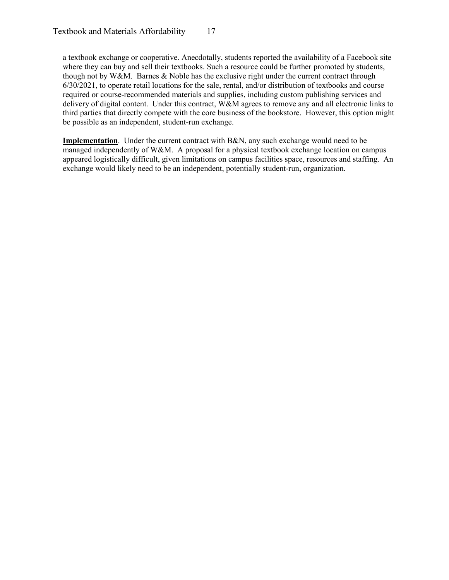a textbook exchange or cooperative. Anecdotally, students reported the availability of a Facebook site where they can buy and sell their textbooks. Such a resource could be further promoted by students, though not by W&M. Barnes & Noble has the exclusive right under the current contract through 6/30/2021, to operate retail locations for the sale, rental, and/or distribution of textbooks and course required or course-recommended materials and supplies, including custom publishing services and delivery of digital content. Under this contract, W&M agrees to remove any and all electronic links to third parties that directly compete with the core business of the bookstore. However, this option might be possible as an independent, student-run exchange.

**Implementation**. Under the current contract with B&N, any such exchange would need to be managed independently of W&M. A proposal for a physical textbook exchange location on campus appeared logistically difficult, given limitations on campus facilities space, resources and staffing. An exchange would likely need to be an independent, potentially student-run, organization.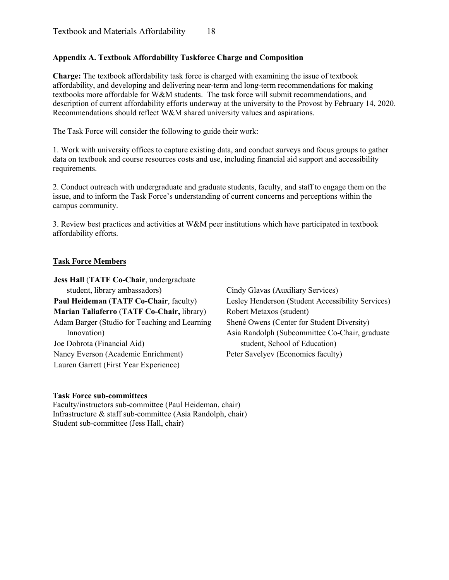#### **Appendix A. Textbook Affordability Taskforce Charge and Composition**

**Charge:** The textbook affordability task force is charged with examining the issue of textbook affordability, and developing and delivering near-term and long-term recommendations for making textbooks more affordable for W&M students. The task force will submit recommendations, and description of current affordability efforts underway at the university to the Provost by February 14, 2020. Recommendations should reflect W&M shared university values and aspirations.

The Task Force will consider the following to guide their work:

1. Work with university offices to capture existing data, and conduct surveys and focus groups to gather data on textbook and course resources costs and use, including financial aid support and accessibility requirements.

2. Conduct outreach with undergraduate and graduate students, faculty, and staff to engage them on the issue, and to inform the Task Force's understanding of current concerns and perceptions within the campus community.

3. Review best practices and activities at W&M peer institutions which have participated in textbook affordability efforts.

#### **Task Force Members**

**Jess Hall** (**TATF Co-Chair**, undergraduate student, library ambassadors) **Paul Heideman** (**TATF Co-Chair**, faculty) **Marian Taliaferro** (**TATF Co-Chair,** library) Adam Barger (Studio for Teaching and Learning Innovation) Joe Dobrota (Financial Aid) Nancy Everson (Academic Enrichment) Lauren Garrett (First Year Experience)

Cindy Glavas (Auxiliary Services) Lesley Henderson (Student Accessibility Services) Robert Metaxos (student) Shené Owens (Center for Student Diversity) Asia Randolph (Subcommittee Co-Chair, graduate student, School of Education) Peter Savelyev (Economics faculty)

#### **Task Force sub-committees**

Faculty/instructors sub-committee (Paul Heideman, chair) Infrastructure & staff sub-committee (Asia Randolph, chair) Student sub-committee (Jess Hall, chair)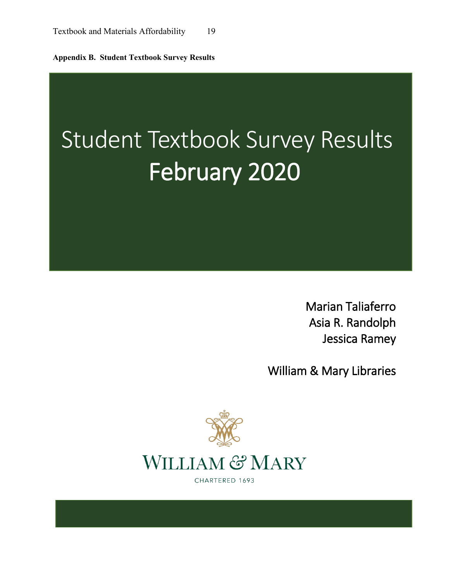**Appendix B. Student Textbook Survey Results**

# Student Textbook Survey Results February 2020

Marian Taliaferro Asia R. Randolph Jessica Ramey

William & Mary Libraries



CHARTERED 1693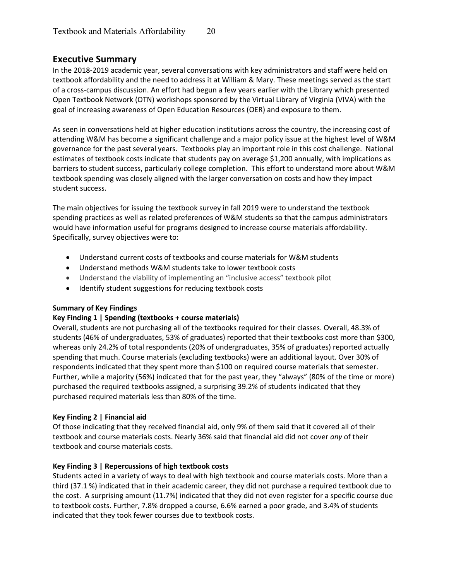#### **Executive Summary**

In the 2018-2019 academic year, several conversations with key administrators and staff were held on textbook affordability and the need to address it at William & Mary. These meetings served as the start of a cross-campus discussion. An effort had begun a few years earlier with the Library which presented Open Textbook Network (OTN) workshops sponsored by the Virtual Library of Virginia (VIVA) with the goal of increasing awareness of Open Education Resources (OER) and exposure to them.

As seen in conversations held at higher education institutions across the country, the increasing cost of attending W&M has become a significant challenge and a major policy issue at the highest level of W&M governance for the past several years. Textbooks play an important role in this cost challenge. National estimates of textbook costs indicate that students pay on average \$1,200 annually, with implications as barriers to student success, particularly college completion. This effort to understand more about W&M textbook spending was closely aligned with the larger conversation on costs and how they impact student success.

The main objectives for issuing the textbook survey in fall 2019 were to understand the textbook spending practices as well as related preferences of W&M students so that the campus administrators would have information useful for programs designed to increase course materials affordability. Specifically, survey objectives were to:

- Understand current costs of textbooks and course materials for W&M students
- Understand methods W&M students take to lower textbook costs
- Understand the viability of implementing an "inclusive access" textbook pilot
- Identify student suggestions for reducing textbook costs

#### **Summary of Key Findings**

#### **Key Finding 1 | Spending (textbooks + course materials)**

Overall, students are not purchasing all of the textbooks required for their classes. Overall, 48.3% of students (46% of undergraduates, 53% of graduates) reported that their textbooks cost more than \$300, whereas only 24.2% of total respondents (20% of undergraduates, 35% of graduates) reported actually spending that much. Course materials (excluding textbooks) were an additional layout. Over 30% of respondents indicated that they spent more than \$100 on required course materials that semester. Further, while a majority (56%) indicated that for the past year, they "always" (80% of the time or more) purchased the required textbooks assigned, a surprising 39.2% of students indicated that they purchased required materials less than 80% of the time.

#### **Key Finding 2 | Financial aid**

Of those indicating that they received financial aid, only 9% of them said that it covered all of their textbook and course materials costs. Nearly 36% said that financial aid did not cover *any* of their textbook and course materials costs.

#### **Key Finding 3 | Repercussions of high textbook costs**

Students acted in a variety of ways to deal with high textbook and course materials costs. More than a third (37.1 %) indicated that in their academic career, they did not purchase a required textbook due to the cost. A surprising amount (11.7%) indicated that they did not even register for a specific course due to textbook costs. Further, 7.8% dropped a course, 6.6% earned a poor grade, and 3.4% of students indicated that they took fewer courses due to textbook costs.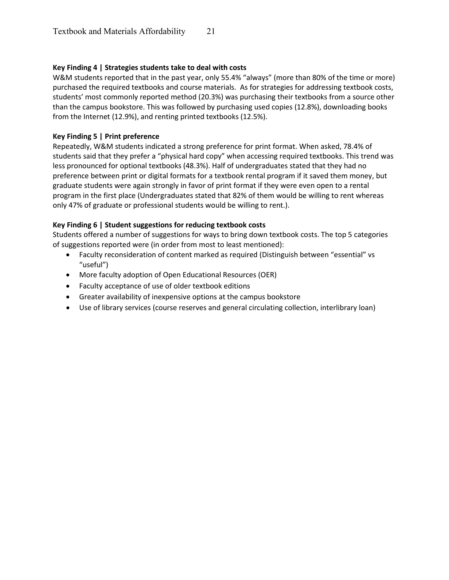#### **Key Finding 4 | Strategies students take to deal with costs**

W&M students reported that in the past year, only 55.4% "always" (more than 80% of the time or more) purchased the required textbooks and course materials. As for strategies for addressing textbook costs, students' most commonly reported method (20.3%) was purchasing their textbooks from a source other than the campus bookstore. This was followed by purchasing used copies (12.8%), downloading books from the Internet (12.9%), and renting printed textbooks (12.5%).

#### **Key Finding 5 | Print preference**

Repeatedly, W&M students indicated a strong preference for print format. When asked, 78.4% of students said that they prefer a "physical hard copy" when accessing required textbooks. This trend was less pronounced for optional textbooks (48.3%). Half of undergraduates stated that they had no preference between print or digital formats for a textbook rental program if it saved them money, but graduate students were again strongly in favor of print format if they were even open to a rental program in the first place (Undergraduates stated that 82% of them would be willing to rent whereas only 47% of graduate or professional students would be willing to rent.).

#### **Key Finding 6 | Student suggestions for reducing textbook costs**

Students offered a number of suggestions for ways to bring down textbook costs. The top 5 categories of suggestions reported were (in order from most to least mentioned):

- Faculty reconsideration of content marked as required (Distinguish between "essential" vs "useful")
- More faculty adoption of Open Educational Resources (OER)
- Faculty acceptance of use of older textbook editions
- Greater availability of inexpensive options at the campus bookstore
- Use of library services (course reserves and general circulating collection, interlibrary loan)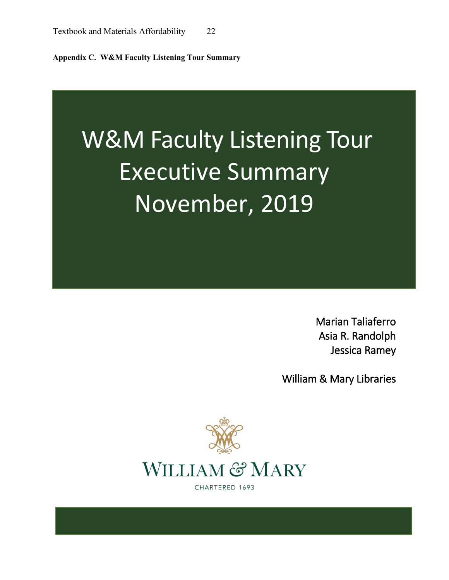**Appendix C. W&M Faculty Listening Tour Summary**

# W&M Faculty Listening Tour Executive Summary November, 2019

Marian Taliaferro Asia R. Randolph Jessica Ramey

William & Mary Libraries

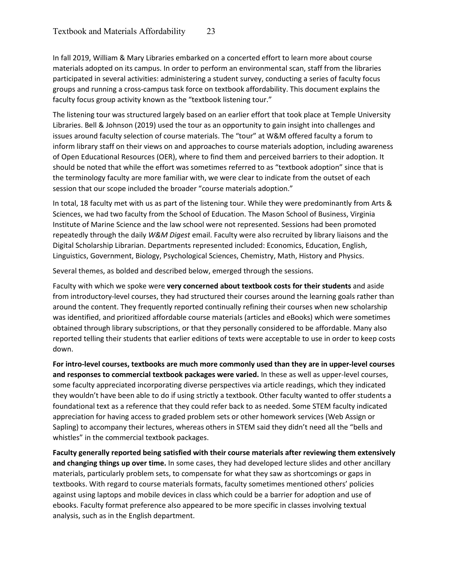In fall 2019, William & Mary Libraries embarked on a concerted effort to learn more about course materials adopted on its campus. In order to perform an environmental scan, staff from the libraries participated in several activities: administering a student survey, conducting a series of faculty focus groups and running a cross-campus task force on textbook affordability. This document explains the faculty focus group activity known as the "textbook listening tour."

The listening tour was structured largely based on an earlier effort that took place at Temple University Libraries. Bell & Johnson (2019) used the tour as an opportunity to gain insight into challenges and issues around faculty selection of course materials. The "tour" at W&M offered faculty a forum to inform library staff on their views on and approaches to course materials adoption, including awareness of Open Educational Resources (OER), where to find them and perceived barriers to their adoption. It should be noted that while the effort was sometimes referred to as "textbook adoption" since that is the terminology faculty are more familiar with, we were clear to indicate from the outset of each session that our scope included the broader "course materials adoption."

In total, 18 faculty met with us as part of the listening tour. While they were predominantly from Arts & Sciences, we had two faculty from the School of Education. The Mason School of Business, Virginia Institute of Marine Science and the law school were not represented. Sessions had been promoted repeatedly through the daily *W&M Digest* email. Faculty were also recruited by library liaisons and the Digital Scholarship Librarian. Departments represented included: Economics, Education, English, Linguistics, Government, Biology, Psychological Sciences, Chemistry, Math, History and Physics.

Several themes, as bolded and described below, emerged through the sessions.

Faculty with which we spoke were **very concerned about textbook costs for their students** and aside from introductory-level courses, they had structured their courses around the learning goals rather than around the content. They frequently reported continually refining their courses when new scholarship was identified, and prioritized affordable course materials (articles and eBooks) which were sometimes obtained through library subscriptions, or that they personally considered to be affordable. Many also reported telling their students that earlier editions of texts were acceptable to use in order to keep costs down.

**For intro-level courses, textbooks are much more commonly used than they are in upper-level courses and responses to commercial textbook packages were varied.** In these as well as upper-level courses, some faculty appreciated incorporating diverse perspectives via article readings, which they indicated they wouldn't have been able to do if using strictly a textbook. Other faculty wanted to offer students a foundational text as a reference that they could refer back to as needed. Some STEM faculty indicated appreciation for having access to graded problem sets or other homework services (Web Assign or Sapling) to accompany their lectures, whereas others in STEM said they didn't need all the "bells and whistles" in the commercial textbook packages.

**Faculty generally reported being satisfied with their course materials after reviewing them extensively and changing things up over time.** In some cases, they had developed lecture slides and other ancillary materials, particularly problem sets, to compensate for what they saw as shortcomings or gaps in textbooks. With regard to course materials formats, faculty sometimes mentioned others' policies against using laptops and mobile devices in class which could be a barrier for adoption and use of ebooks. Faculty format preference also appeared to be more specific in classes involving textual analysis, such as in the English department.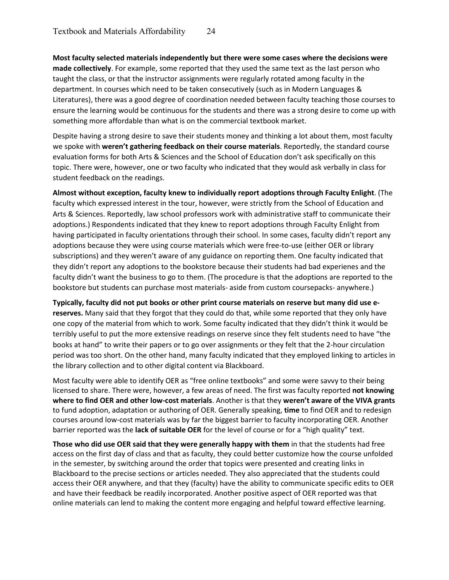**Most faculty selected materials independently but there were some cases where the decisions were made collectively**. For example, some reported that they used the same text as the last person who taught the class, or that the instructor assignments were regularly rotated among faculty in the department. In courses which need to be taken consecutively (such as in Modern Languages & Literatures), there was a good degree of coordination needed between faculty teaching those courses to ensure the learning would be continuous for the students and there was a strong desire to come up with something more affordable than what is on the commercial textbook market.

Despite having a strong desire to save their students money and thinking a lot about them, most faculty we spoke with **weren't gathering feedback on their course materials**. Reportedly, the standard course evaluation forms for both Arts & Sciences and the School of Education don't ask specifically on this topic. There were, however, one or two faculty who indicated that they would ask verbally in class for student feedback on the readings.

**Almost without exception, faculty knew to individually report adoptions through Faculty Enlight**. (The faculty which expressed interest in the tour, however, were strictly from the School of Education and Arts & Sciences. Reportedly, law school professors work with administrative staff to communicate their adoptions.) Respondents indicated that they knew to report adoptions through Faculty Enlight from having participated in faculty orientations through their school. In some cases, faculty didn't report any adoptions because they were using course materials which were free-to-use (either OER or library subscriptions) and they weren't aware of any guidance on reporting them. One faculty indicated that they didn't report any adoptions to the bookstore because their students had bad experienes and the faculty didn't want the business to go to them. (The procedure is that the adoptions are reported to the bookstore but students can purchase most materials- aside from custom coursepacks- anywhere.)

**Typically, faculty did not put books or other print course materials on reserve but many did use ereserves.** Many said that they forgot that they could do that, while some reported that they only have one copy of the material from which to work. Some faculty indicated that they didn't think it would be terribly useful to put the more extensive readings on reserve since they felt students need to have "the books at hand" to write their papers or to go over assignments or they felt that the 2-hour circulation period was too short. On the other hand, many faculty indicated that they employed linking to articles in the library collection and to other digital content via Blackboard.

Most faculty were able to identify OER as "free online textbooks" and some were savvy to their being licensed to share. There were, however, a few areas of need. The first was faculty reported **not knowing where to find OER and other low-cost materials**. Another is that they **weren't aware of the VIVA grants** to fund adoption, adaptation or authoring of OER. Generally speaking, **time** to find OER and to redesign courses around low-cost materials was by far the biggest barrier to faculty incorporating OER. Another barrier reported was the **lack of suitable OER** for the level of course or for a "high quality" text.

**Those who did use OER said that they were generally happy with them** in that the students had free access on the first day of class and that as faculty, they could better customize how the course unfolded in the semester, by switching around the order that topics were presented and creating links in Blackboard to the precise sections or articles needed. They also appreciated that the students could access their OER anywhere, and that they (faculty) have the ability to communicate specific edits to OER and have their feedback be readily incorporated. Another positive aspect of OER reported was that online materials can lend to making the content more engaging and helpful toward effective learning.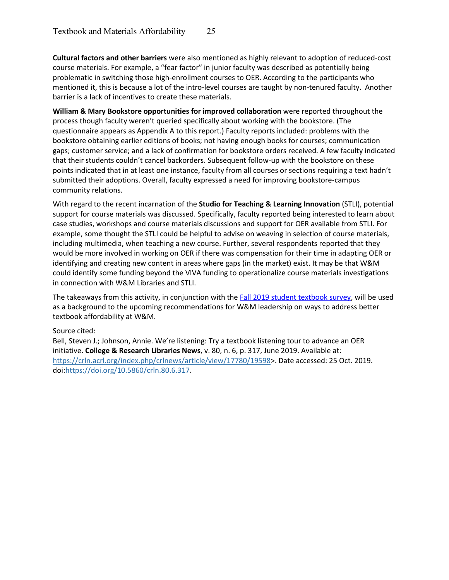**Cultural factors and other barriers** were also mentioned as highly relevant to adoption of reduced-cost course materials. For example, a "fear factor" in junior faculty was described as potentially being problematic in switching those high-enrollment courses to OER. According to the participants who mentioned it, this is because a lot of the intro-level courses are taught by non-tenured faculty. Another barrier is a lack of incentives to create these materials.

**William & Mary Bookstore opportunities for improved collaboration** were reported throughout the process though faculty weren't queried specifically about working with the bookstore. (The questionnaire appears as Appendix A to this report.) Faculty reports included: problems with the bookstore obtaining earlier editions of books; not having enough books for courses; communication gaps; customer service; and a lack of confirmation for bookstore orders received. A few faculty indicated that their students couldn't cancel backorders. Subsequent follow-up with the bookstore on these points indicated that in at least one instance, faculty from all courses or sections requiring a text hadn't submitted their adoptions. Overall, faculty expressed a need for improving bookstore-campus community relations.

With regard to the recent incarnation of the **Studio for Teaching & Learning Innovation** (STLI), potential support for course materials was discussed. Specifically, faculty reported being interested to learn about case studies, workshops and course materials discussions and support for OER available from STLI. For example, some thought the STLI could be helpful to advise on weaving in selection of course materials, including multimedia, when teaching a new course. Further, several respondents reported that they would be more involved in working on OER if there was compensation for their time in adapting OER or identifying and creating new content in areas where gaps (in the market) exist. It may be that W&M could identify some funding beyond the VIVA funding to operationalize course materials investigations in connection with W&M Libraries and STLI.

The takeaways from this activity, in conjunction with the [Fall 2019 student textbook survey,](https://scholarworks.wm.edu/librariespubs/2/) will be used as a background to the upcoming recommendations for W&M leadership on ways to address better textbook affordability at W&M.

#### Source cited:

Bell, Steven J.; Johnson, Annie. We're listening: Try a textbook listening tour to advance an OER initiative. **College & Research Libraries News**, v. 80, n. 6, p. 317, June 2019. Available at: [https://crln.acrl.org/index.php/crlnews/article/view/17780/19598>](https://crln.acrl.org/index.php/crlnews/article/view/17780/19598). Date accessed: 25 Oct. 2019. doi[:https://doi.org/10.5860/crln.80.6.317.](https://doi.org/10.5860/crln.80.6.317)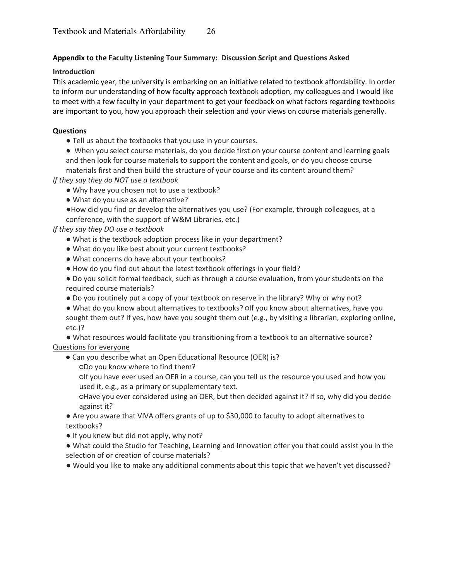#### **Appendix to the Faculty Listening Tour Summary: Discussion Script and Questions Asked**

#### **Introduction**

This academic year, the university is embarking on an initiative related to textbook affordability. In order to inform our understanding of how faculty approach textbook adoption, my colleagues and I would like to meet with a few faculty in your department to get your feedback on what factors regarding textbooks are important to you, how you approach their selection and your views on course materials generally.

#### **Questions**

- Tell us about the textbooks that you use in your courses.
- When you select course materials, do you decide first on your course content and learning goals and then look for course materials to support the content and goals, or do you choose course materials first and then build the structure of your course and its content around them?

*If they say they do NOT use a textbook*

- Why have you chosen not to use a textbook?
- What do you use as an alternative?

●How did you find or develop the alternatives you use? (For example, through colleagues, at a conference, with the support of W&M Libraries, etc.)

#### *If they say they DO use a textbook*

- What is the textbook adoption process like in your department?
- What do you like best about your current textbooks?
- What concerns do have about your textbooks?
- How do you find out about the latest textbook offerings in your field?
- Do you solicit formal feedback, such as through a course evaluation, from your students on the required course materials?
- Do you routinely put a copy of your textbook on reserve in the library? Why or why not?
- What do you know about alternatives to textbooks? Olf you know about alternatives, have you sought them out? If yes, how have you sought them out (e.g., by visiting a librarian, exploring online, etc.)?

● What resources would facilitate you transitioning from a textbook to an alternative source? Questions for everyone

- Can you describe what an Open Educational Resource (OER) is?
	- ○Do you know where to find them?
	- ○If you have ever used an OER in a course, can you tell us the resource you used and how you used it, e.g., as a primary or supplementary text.
	- ○Have you ever considered using an OER, but then decided against it? If so, why did you decide against it?
- Are you aware that VIVA offers grants of up to \$30,000 to faculty to adopt alternatives to textbooks?
- If you knew but did not apply, why not?
- What could the Studio for Teaching, Learning and Innovation offer you that could assist you in the selection of or creation of course materials?
- Would you like to make any additional comments about this topic that we haven't yet discussed?